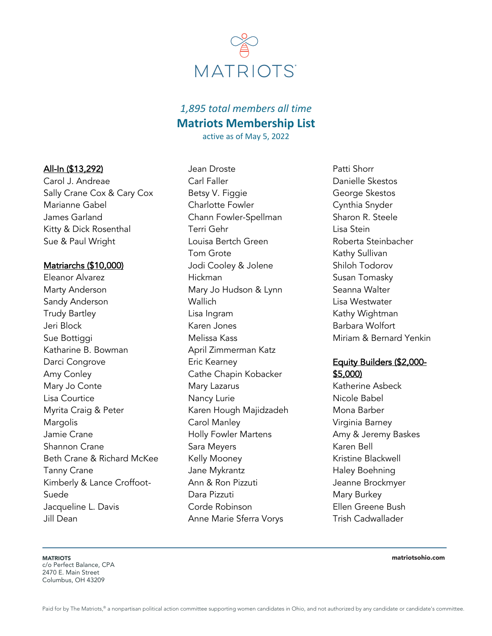

# *1,895 total members all time* **Matriots Membership List**

active as of May 5, 2022

## All-In (\$13,292)

Carol J. Andreae Sally Crane Cox & Cary Cox Marianne Gabel James Garland Kitty & Dick Rosenthal Sue & Paul Wright

### Matriarchs (\$10,000)

Eleanor Alvarez Marty Anderson Sandy Anderson Trudy Bartley Jeri Block Sue Bottiggi Katharine B. Bowman Darci Congrove Amy Conley Mary Jo Conte Lisa Courtice Myrita Craig & Peter Margolis Jamie Crane Shannon Crane Beth Crane & Richard McKee Tanny Crane Kimberly & Lance Croffoot-Suede Jacqueline L. Davis Jill Dean

Jean Droste Carl Faller Betsy V. Figgie Charlotte Fowler Chann Fowler-Spellman Terri Gehr Louisa Bertch Green Tom Grote Jodi Cooley & Jolene Hickman Mary Jo Hudson & Lynn Wallich Lisa Ingram Karen Jones Melissa Kass April Zimmerman Katz Eric Kearney Cathe Chapin Kobacker Mary Lazarus Nancy Lurie Karen Hough Majidzadeh Carol Manley Holly Fowler Martens Sara Meyers Kelly Mooney Jane Mykrantz Ann & Ron Pizzuti Dara Pizzuti Corde Robinson Anne Marie Sferra Vorys

Patti Shorr Danielle Skestos George Skestos Cynthia Snyder Sharon R. Steele Lisa Stein Roberta Steinbacher Kathy Sullivan Shiloh Todorov Susan Tomasky Seanna Walter Lisa Westwater Kathy Wightman Barbara Wolfort Miriam & Bernard Yenkin

## Equity Builders (\$2,000- \$5,000)

Katherine Asbeck Nicole Babel Mona Barber Virginia Barney Amy & Jeremy Baskes Karen Bell Kristine Blackwell Haley Boehning Jeanne Brockmyer Mary Burkey Ellen Greene Bush Trish Cadwallader

**MATRIOTS** c/o Perfect Balance, CPA 2470 E. Main Street Columbus, OH 43209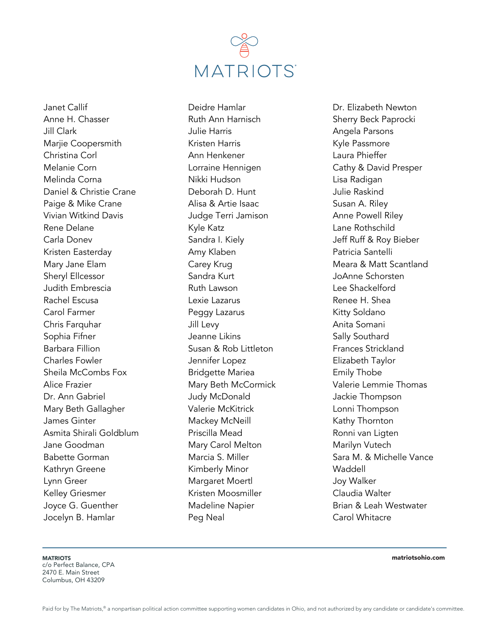

Janet Callif Anne H. Chasser Jill Clark Marjie Coopersmith Christina Corl Melanie Corn Melinda Corna Daniel & Christie Crane Paige & Mike Crane Vivian Witkind Davis Rene Delane Carla Donev Kristen Easterday Mary Jane Elam Sheryl Ellcessor Judith Embrescia Rachel Escusa Carol Farmer Chris Farquhar Sophia Fifner Barbara Fillion Charles Fowler Sheila McCombs Fox Alice Frazier Dr. Ann Gabriel Mary Beth Gallagher James Ginter Asmita Shirali Goldblum Jane Goodman Babette Gorman Kathryn Greene Lynn Greer Kelley Griesmer Joyce G. Guenther Jocelyn B. Hamlar

Deidre Hamlar Ruth Ann Harnisch Julie Harris Kristen Harris Ann Henkener Lorraine Hennigen Nikki Hudson Deborah D. Hunt Alisa & Artie Isaac Judge Terri Jamison Kyle Katz Sandra I. Kiely Amy Klaben Carey Krug Sandra Kurt Ruth Lawson Lexie Lazarus Peggy Lazarus Jill Levy Jeanne Likins Susan & Rob Littleton Jennifer Lopez Bridgette Mariea Mary Beth McCormick Judy McDonald Valerie McKitrick Mackey McNeill Priscilla Mead Mary Carol Melton Marcia S. Miller Kimberly Minor Margaret Moertl Kristen Moosmiller Madeline Napier Peg Neal

Dr. Elizabeth Newton Sherry Beck Paprocki Angela Parsons Kyle Passmore Laura Phieffer Cathy & David Presper Lisa Radigan Julie Raskind Susan A. Riley Anne Powell Riley Lane Rothschild Jeff Ruff & Roy Bieber Patricia Santelli Meara & Matt Scantland JoAnne Schorsten Lee Shackelford Renee H. Shea Kitty Soldano Anita Somani Sally Southard Frances Strickland Elizabeth Taylor Emily Thobe Valerie Lemmie Thomas Jackie Thompson Lonni Thompson Kathy Thornton Ronni van Ligten Marilyn Vutech Sara M. & Michelle Vance **Waddell** Joy Walker Claudia Walter Brian & Leah Westwater Carol Whitacre

**MATRIOTS** 

c/o Perfect Balance, CPA 2470 E. Main Street Columbus, OH 43209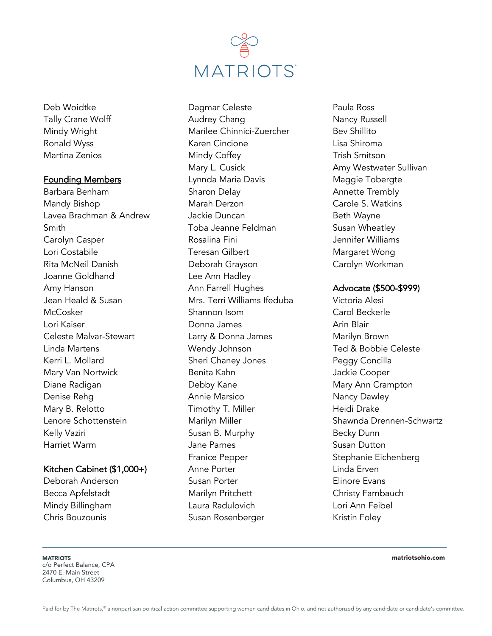

Deb Woidtke Tally Crane Wolff Mindy Wright Ronald Wyss Martina Zenios

#### Founding Members

Barbara Benham Mandy Bishop Lavea Brachman & Andrew Smith Carolyn Casper Lori Costabile Rita McNeil Danish Joanne Goldhand Amy Hanson Jean Heald & Susan **McCosker** Lori Kaiser Celeste Malvar-Stewart Linda Martens Kerri L. Mollard Mary Van Nortwick Diane Radigan Denise Rehg Mary B. Relotto Lenore Schottenstein Kelly Vaziri Harriet Warm

#### Kitchen Cabinet (\$1,000+)

Deborah Anderson Becca Apfelstadt Mindy Billingham Chris Bouzounis

Dagmar Celeste Audrey Chang Marilee Chinnici-Zuercher Karen Cincione Mindy Coffey Mary L. Cusick Lynnda Maria Davis Sharon Delay Marah Derzon Jackie Duncan Toba Jeanne Feldman Rosalina Fini Teresan Gilbert Deborah Grayson Lee Ann Hadley Ann Farrell Hughes Mrs. Terri Williams Ifeduba Shannon Isom Donna James Larry & Donna James Wendy Johnson Sheri Chaney Jones Benita Kahn Debby Kane Annie Marsico Timothy T. Miller Marilyn Miller Susan B. Murphy Jane Parnes Franice Pepper Anne Porter Susan Porter Marilyn Pritchett Laura Radulovich Susan Rosenberger

Paula Ross Nancy Russell Bev Shillito Lisa Shiroma Trish Smitson Amy Westwater Sullivan Maggie Tobergte Annette Trembly Carole S. Watkins Beth Wayne Susan Wheatley Jennifer Williams Margaret Wong Carolyn Workman

#### Advocate (\$500-\$999)

Victoria Alesi Carol Beckerle Arin Blair Marilyn Brown Ted & Bobbie Celeste Peggy Concilla Jackie Cooper Mary Ann Crampton Nancy Dawley Heidi Drake Shawnda Drennen-Schwartz Becky Dunn Susan Dutton Stephanie Eichenberg Linda Erven Elinore Evans Christy Farnbauch Lori Ann Feibel Kristin Foley

**MATRIOTS** c/o Perfect Balance, CPA

2470 E. Main Street Columbus, OH 43209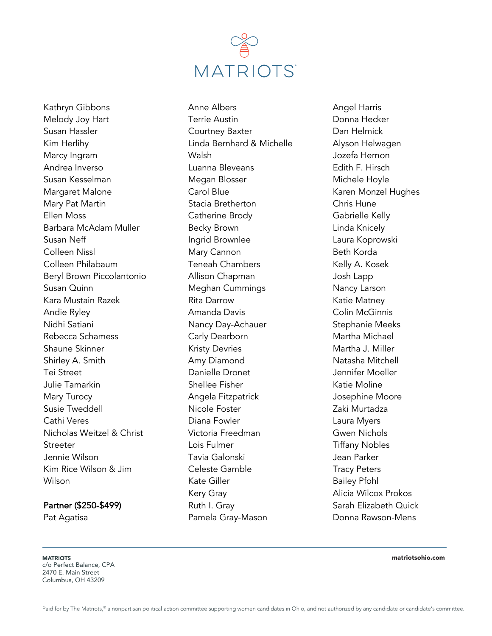

Kathryn Gibbons Melody Joy Hart Susan Hassler Kim Herlihy Marcy Ingram Andrea Inverso Susan Kesselman Margaret Malone Mary Pat Martin Ellen Moss Barbara McAdam Muller Susan Neff Colleen Nissl Colleen Philabaum Beryl Brown Piccolantonio Susan Quinn Kara Mustain Razek Andie Ryley Nidhi Satiani Rebecca Schamess Shaune Skinner Shirley A. Smith Tei Street Julie Tamarkin Mary Turocy Susie Tweddell Cathi Veres Nicholas Weitzel & Christ **Streeter** Jennie Wilson Kim Rice Wilson & Jim Wilson

#### Partner (\$250-\$499)

Pat Agatisa

Anne Albers Terrie Austin Courtney Baxter Linda Bernhard & Michelle Walsh Luanna Bleveans Megan Blosser Carol Blue Stacia Bretherton Catherine Brody Becky Brown Ingrid Brownlee Mary Cannon Teneah Chambers Allison Chapman Meghan Cummings Rita Darrow Amanda Davis Nancy Day-Achauer Carly Dearborn Kristy Devries Amy Diamond Danielle Dronet Shellee Fisher Angela Fitzpatrick Nicole Foster Diana Fowler Victoria Freedman Lois Fulmer Tavia Galonski Celeste Gamble Kate Giller Kery Gray Ruth I. Gray Pamela Gray-Mason

Angel Harris Donna Hecker Dan Helmick Alyson Helwagen Jozefa Hernon Edith F. Hirsch Michele Hoyle Karen Monzel Hughes Chris Hune Gabrielle Kelly Linda Knicely Laura Koprowski Beth Korda Kelly A. Kosek Josh Lapp Nancy Larson Katie Matney Colin McGinnis Stephanie Meeks Martha Michael Martha J. Miller Natasha Mitchell Jennifer Moeller Katie Moline Josephine Moore Zaki Murtadza Laura Myers Gwen Nichols Tiffany Nobles Jean Parker Tracy Peters Bailey Pfohl Alicia Wilcox Prokos Sarah Elizabeth Quick Donna Rawson-Mens

**MATRIOTS** c/o Perfect Balance, CPA 2470 E. Main Street Columbus, OH 43209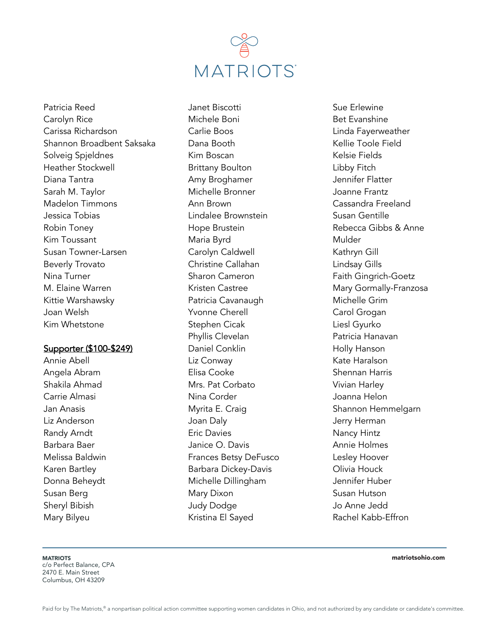

Patricia Reed Carolyn Rice Carissa Richardson Shannon Broadbent Saksaka Solveig Spjeldnes Heather Stockwell Diana Tantra Sarah M. Taylor Madelon Timmons Jessica Tobias Robin Toney Kim Toussant Susan Towner-Larsen Beverly Trovato Nina Turner M. Elaine Warren Kittie Warshawsky Joan Welsh Kim Whetstone

#### Supporter (\$100-\$249)

Annie Abell Angela Abram Shakila Ahmad Carrie Almasi Jan Anasis Liz Anderson Randy Arndt Barbara Baer Melissa Baldwin Karen Bartley Donna Beheydt Susan Berg Sheryl Bibish Mary Bilyeu

Janet Biscotti Michele Boni Carlie Boos Dana Booth Kim Boscan Brittany Boulton Amy Broghamer Michelle Bronner Ann Brown Lindalee Brownstein Hope Brustein Maria Byrd Carolyn Caldwell Christine Callahan Sharon Cameron Kristen Castree Patricia Cavanaugh Yvonne Cherell Stephen Cicak Phyllis Clevelan Daniel Conklin Liz Conway Elisa Cooke Mrs. Pat Corbato Nina Corder Myrita E. Craig Joan Daly Eric Davies Janice O. Davis Frances Betsy DeFusco Barbara Dickey-Davis Michelle Dillingham Mary Dixon Judy Dodge Kristina El Sayed

Sue Erlewine Bet Evanshine Linda Fayerweather Kellie Toole Field Kelsie Fields Libby Fitch Jennifer Flatter Joanne Frantz Cassandra Freeland Susan Gentille Rebecca Gibbs & Anne Mulder Kathryn Gill Lindsay Gills Faith Gingrich-Goetz Mary Gormally-Franzosa Michelle Grim Carol Grogan Liesl Gyurko Patricia Hanavan Holly Hanson Kate Haralson Shennan Harris Vivian Harley Joanna Helon Shannon Hemmelgarn Jerry Herman Nancy Hintz Annie Holmes Lesley Hoover Olivia Houck Jennifer Huber Susan Hutson Jo Anne Jedd Rachel Kabb-Effron

**MATRIOTS** 

c/o Perfect Balance, CPA 2470 E. Main Street Columbus, OH 43209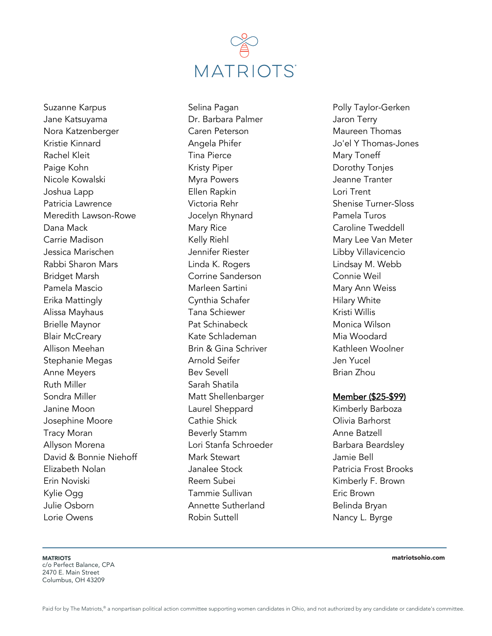

Suzanne Karpus Jane Katsuyama Nora Katzenberger Kristie Kinnard Rachel Kleit Paige Kohn Nicole Kowalski Joshua Lapp Patricia Lawrence Meredith Lawson-Rowe Dana Mack Carrie Madison Jessica Marischen Rabbi Sharon Mars Bridget Marsh Pamela Mascio Erika Mattingly Alissa Mayhaus Brielle Maynor Blair McCreary Allison Meehan Stephanie Megas Anne Meyers Ruth Miller Sondra Miller Janine Moon Josephine Moore Tracy Moran Allyson Morena David & Bonnie Niehoff Elizabeth Nolan Erin Noviski Kylie Ogg Julie Osborn Lorie Owens

Selina Pagan Dr. Barbara Palmer Caren Peterson Angela Phifer Tina Pierce Kristy Piper Myra Powers Ellen Rapkin Victoria Rehr Jocelyn Rhynard Mary Rice Kelly Riehl Jennifer Riester Linda K. Rogers Corrine Sanderson Marleen Sartini Cynthia Schafer Tana Schiewer Pat Schinabeck Kate Schlademan Brin & Gina Schriver Arnold Seifer Bev Sevell Sarah Shatila Matt Shellenbarger Laurel Sheppard Cathie Shick Beverly Stamm Lori Stanfa Schroeder Mark Stewart Janalee Stock Reem Subei Tammie Sullivan Annette Sutherland Robin Suttell

Polly Taylor-Gerken Jaron Terry Maureen Thomas Jo'el Y Thomas-Jones Mary Toneff Dorothy Tonjes Jeanne Tranter Lori Trent Shenise Turner-Sloss Pamela Turos Caroline Tweddell Mary Lee Van Meter Libby Villavicencio Lindsay M. Webb Connie Weil Mary Ann Weiss Hilary White Kristi Willis Monica Wilson Mia Woodard Kathleen Woolner Jen Yucel Brian Zhou

#### Member (\$25-\$99)

Kimberly Barboza Olivia Barhorst Anne Batzell Barbara Beardsley Jamie Bell Patricia Frost Brooks Kimberly F. Brown Eric Brown Belinda Bryan Nancy L. Byrge

**MATRIOTS** 

c/o Perfect Balance, CPA 2470 E. Main Street Columbus, OH 43209